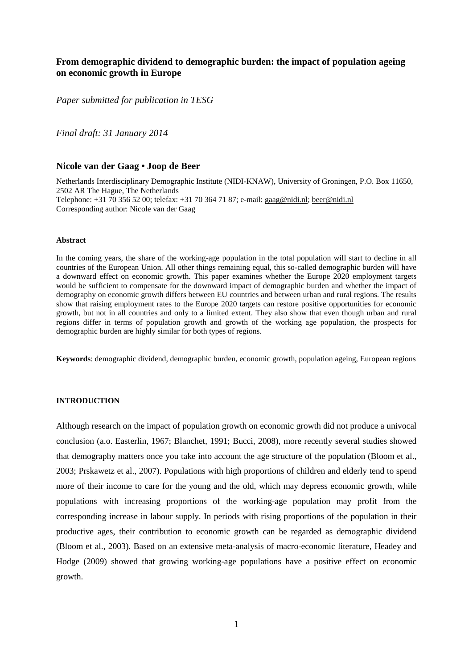# **From demographic dividend to demographic burden: the impact of population ageing on economic growth in Europe**

*Paper submitted for publication in TESG* 

*Final draft: 31 January 2014*

### **Nicole van der Gaag • Joop de Beer**

Netherlands Interdisciplinary Demographic Institute (NIDI-KNAW), University of Groningen, P.O. Box 11650, 2502 AR The Hague, The Netherlands Telephone: +31 70 356 52 00; telefax: +31 70 364 71 87; e-mail: [gaag@nidi.nl;](mailto:gaag@nidi.nl) [beer@nidi.nl](mailto:beer@nidi.nl) Corresponding author: Nicole van der Gaag

#### **Abstract**

In the coming years, the share of the working-age population in the total population will start to decline in all countries of the European Union. All other things remaining equal, this so-called demographic burden will have a downward effect on economic growth. This paper examines whether the Europe 2020 employment targets would be sufficient to compensate for the downward impact of demographic burden and whether the impact of demography on economic growth differs between EU countries and between urban and rural regions. The results show that raising employment rates to the Europe 2020 targets can restore positive opportunities for economic growth, but not in all countries and only to a limited extent. They also show that even though urban and rural regions differ in terms of population growth and growth of the working age population, the prospects for demographic burden are highly similar for both types of regions.

**Keywords**: demographic dividend, demographic burden, economic growth, population ageing, European regions

#### **INTRODUCTION**

Although research on the impact of population growth on economic growth did not produce a univocal conclusion (a.o. Easterlin, 1967; Blanchet, 1991; Bucci, 2008), more recently several studies showed that demography matters once you take into account the age structure of the population (Bloom et al., 2003; Prskawetz et al., 2007). Populations with high proportions of children and elderly tend to spend more of their income to care for the young and the old, which may depress economic growth, while populations with increasing proportions of the working-age population may profit from the corresponding increase in labour supply. In periods with rising proportions of the population in their productive ages, their contribution to economic growth can be regarded as demographic dividend (Bloom et al., 2003). Based on an extensive meta-analysis of macro-economic literature, Headey and Hodge (2009) showed that growing working-age populations have a positive effect on economic growth.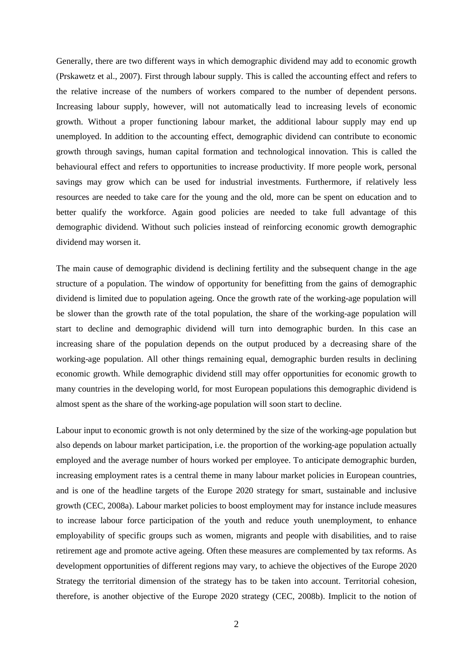Generally, there are two different ways in which demographic dividend may add to economic growth (Prskawetz et al., 2007). First through labour supply. This is called the accounting effect and refers to the relative increase of the numbers of workers compared to the number of dependent persons. Increasing labour supply, however, will not automatically lead to increasing levels of economic growth. Without a proper functioning labour market, the additional labour supply may end up unemployed. In addition to the accounting effect, demographic dividend can contribute to economic growth through savings, human capital formation and technological innovation. This is called the behavioural effect and refers to opportunities to increase productivity. If more people work, personal savings may grow which can be used for industrial investments. Furthermore, if relatively less resources are needed to take care for the young and the old, more can be spent on education and to better qualify the workforce. Again good policies are needed to take full advantage of this demographic dividend. Without such policies instead of reinforcing economic growth demographic dividend may worsen it.

The main cause of demographic dividend is declining fertility and the subsequent change in the age structure of a population. The window of opportunity for benefitting from the gains of demographic dividend is limited due to population ageing. Once the growth rate of the working-age population will be slower than the growth rate of the total population, the share of the working-age population will start to decline and demographic dividend will turn into demographic burden. In this case an increasing share of the population depends on the output produced by a decreasing share of the working-age population. All other things remaining equal, demographic burden results in declining economic growth. While demographic dividend still may offer opportunities for economic growth to many countries in the developing world, for most European populations this demographic dividend is almost spent as the share of the working-age population will soon start to decline.

Labour input to economic growth is not only determined by the size of the working-age population but also depends on labour market participation, i.e. the proportion of the working-age population actually employed and the average number of hours worked per employee. To anticipate demographic burden, increasing employment rates is a central theme in many labour market policies in European countries, and is one of the headline targets of the Europe 2020 strategy for smart, sustainable and inclusive growth (CEC, 2008a). Labour market policies to boost employment may for instance include measures to increase labour force participation of the youth and reduce youth unemployment, to enhance employability of specific groups such as women, migrants and people with disabilities, and to raise retirement age and promote active ageing. Often these measures are complemented by tax reforms. As development opportunities of different regions may vary, to achieve the objectives of the Europe 2020 Strategy the territorial dimension of the strategy has to be taken into account. Territorial cohesion, therefore, is another objective of the Europe 2020 strategy (CEC, 2008b). Implicit to the notion of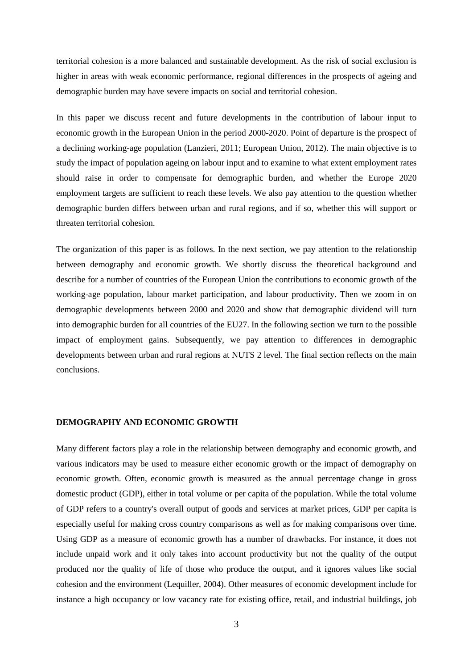territorial cohesion is a more balanced and sustainable development. As the risk of social exclusion is higher in areas with weak economic performance, regional differences in the prospects of ageing and demographic burden may have severe impacts on social and territorial cohesion.

In this paper we discuss recent and future developments in the contribution of labour input to economic growth in the European Union in the period 2000-2020. Point of departure is the prospect of a declining working-age population (Lanzieri, 2011; European Union, 2012). The main objective is to study the impact of population ageing on labour input and to examine to what extent employment rates should raise in order to compensate for demographic burden, and whether the Europe 2020 employment targets are sufficient to reach these levels. We also pay attention to the question whether demographic burden differs between urban and rural regions, and if so, whether this will support or threaten territorial cohesion.

The organization of this paper is as follows. In the next section, we pay attention to the relationship between demography and economic growth. We shortly discuss the theoretical background and describe for a number of countries of the European Union the contributions to economic growth of the working-age population, labour market participation, and labour productivity. Then we zoom in on demographic developments between 2000 and 2020 and show that demographic dividend will turn into demographic burden for all countries of the EU27. In the following section we turn to the possible impact of employment gains. Subsequently, we pay attention to differences in demographic developments between urban and rural regions at NUTS 2 level. The final section reflects on the main conclusions.

### **DEMOGRAPHY AND ECONOMIC GROWTH**

Many different factors play a role in the relationship between demography and economic growth, and various indicators may be used to measure either economic growth or the impact of demography on economic growth. Often, economic growth is measured as the annual percentage change in gross domestic product (GDP), either in total volume or per capita of the population. While the total volume of GDP refers to a country's overall output of goods and services at market prices, GDP per capita is especially useful for making cross country comparisons as well as for making comparisons over time. Using GDP as a measure of economic growth has a number of drawbacks. For instance, it does not include unpaid work and it only takes into account productivity but not the quality of the output produced nor the quality of life of those who produce the output, and it ignores values like social cohesion and the environment (Lequiller, 2004). Other measures of economic development include for instance a high occupancy or low vacancy rate for existing office, retail, and industrial buildings, job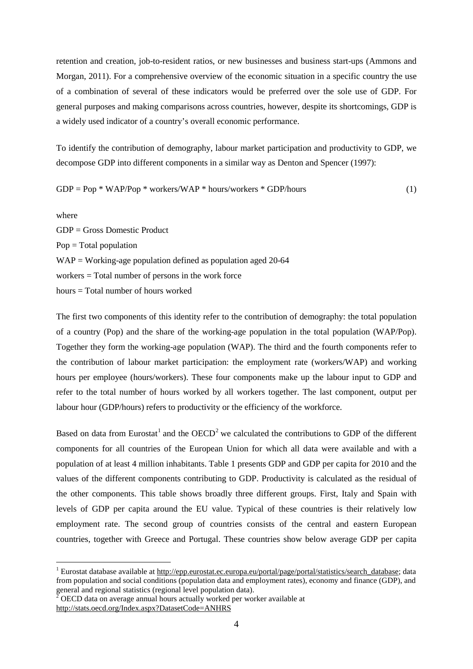retention and creation, job-to-resident ratios, or new businesses and business start-ups (Ammons and Morgan, 2011). For a comprehensive overview of the economic situation in a specific country the use of a combination of several of these indicators would be preferred over the sole use of GDP. For general purposes and making comparisons across countries, however, despite its shortcomings, GDP is a widely used indicator of a country's overall economic performance.

To identify the contribution of demography, labour market participation and productivity to GDP, we decompose GDP into different components in a similar way as Denton and Spencer (1997):

 $GDP = Pop * WAP/Pop * workers/WAP * hours/works * GDP/hours$  (1)

where

GDP = Gross Domestic Product  $Pop = Total population$  $WAP = Working-age population defined as population aged 20-64$ workers = Total number of persons in the work force hours = Total number of hours worked

The first two components of this identity refer to the contribution of demography: the total population of a country (Pop) and the share of the working-age population in the total population (WAP/Pop). Together they form the working-age population (WAP). The third and the fourth components refer to the contribution of labour market participation: the employment rate (workers/WAP) and working hours per employee (hours/workers). These four components make up the labour input to GDP and refer to the total number of hours worked by all workers together. The last component, output per labour hour (GDP/hours) refers to productivity or the efficiency of the workforce.

Based on data from Eurostat<sup>[1](#page-3-0)</sup> and the OECD<sup>[2](#page-3-1)</sup> we calculated the contributions to GDP of the different components for all countries of the European Union for which all data were available and with a population of at least 4 million inhabitants. Table 1 presents GDP and GDP per capita for 2010 and the values of the different components contributing to GDP. Productivity is calculated as the residual of the other components. This table shows broadly three different groups. First, Italy and Spain with levels of GDP per capita around the EU value. Typical of these countries is their relatively low employment rate. The second group of countries consists of the central and eastern European countries, together with Greece and Portugal. These countries show below average GDP per capita

<span id="page-3-0"></span><sup>&</sup>lt;sup>1</sup> Eurostat database available a[t http://epp.eurostat.ec.europa.eu/portal/page/portal/statistics/search\\_database;](http://epp.eurostat.ec.europa.eu/portal/page/portal/statistics/search_database) data from population and social conditions (population data and employment rates), economy and finance (GDP), and general and regional statistics (regional level population data).

<span id="page-3-1"></span> $\frac{2}{3}$  OECD data on average annual hours actually worked per worker available at <http://stats.oecd.org/Index.aspx?DatasetCode=ANHRS>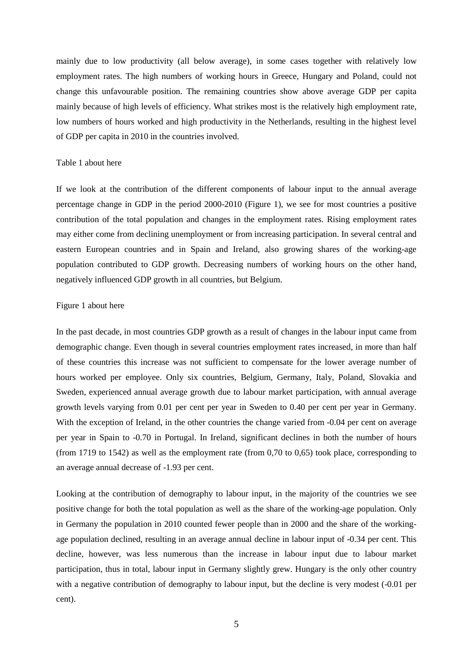mainly due to low productivity (all below average), in some cases together with relatively low employment rates. The high numbers of working hours in Greece, Hungary and Poland, could not change this unfavourable position. The remaining countries show above average GDP per capita mainly because of high levels of efficiency. What strikes most is the relatively high employment rate, low numbers of hours worked and high productivity in the Netherlands, resulting in the highest level of GDP per capita in 2010 in the countries involved.

#### Table 1 about here

If we look at the contribution of the different components of labour input to the annual average percentage change in GDP in the period 2000-2010 (Figure 1), we see for most countries a positive contribution of the total population and changes in the employment rates. Rising employment rates may either come from declining unemployment or from increasing participation. In several central and eastern European countries and in Spain and Ireland, also growing shares of the working-age population contributed to GDP growth. Decreasing numbers of working hours on the other hand, negatively influenced GDP growth in all countries, but Belgium.

#### Figure 1 about here

In the past decade, in most countries GDP growth as a result of changes in the labour input came from demographic change. Even though in several countries employment rates increased, in more than half of these countries this increase was not sufficient to compensate for the lower average number of hours worked per employee. Only six countries, Belgium, Germany, Italy, Poland, Slovakia and Sweden, experienced annual average growth due to labour market participation, with annual average growth levels varying from 0.01 per cent per year in Sweden to 0.40 per cent per year in Germany. With the exception of Ireland, in the other countries the change varied from -0.04 per cent on average per year in Spain to -0.70 in Portugal. In Ireland, significant declines in both the number of hours (from 1719 to 1542) as well as the employment rate (from 0,70 to 0,65) took place, corresponding to an average annual decrease of -1.93 per cent.

Looking at the contribution of demography to labour input, in the majority of the countries we see positive change for both the total population as well as the share of the working-age population. Only in Germany the population in 2010 counted fewer people than in 2000 and the share of the workingage population declined, resulting in an average annual decline in labour input of -0.34 per cent. This decline, however, was less numerous than the increase in labour input due to labour market participation, thus in total, labour input in Germany slightly grew. Hungary is the only other country with a negative contribution of demography to labour input, but the decline is very modest (-0.01 per cent).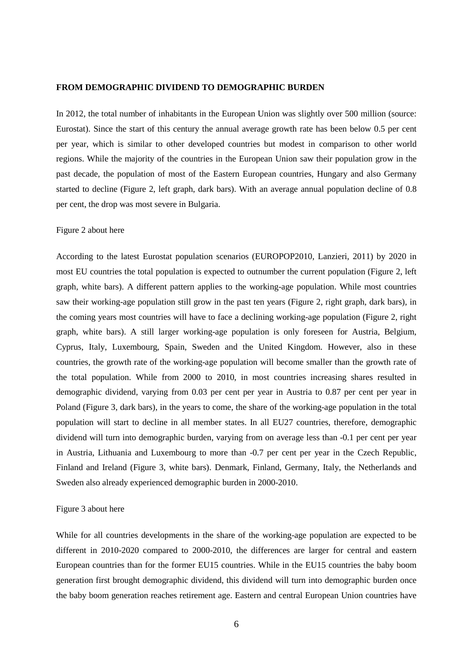#### **FROM DEMOGRAPHIC DIVIDEND TO DEMOGRAPHIC BURDEN**

In 2012, the total number of inhabitants in the European Union was slightly over 500 million (source: Eurostat). Since the start of this century the annual average growth rate has been below 0.5 per cent per year, which is similar to other developed countries but modest in comparison to other world regions. While the majority of the countries in the European Union saw their population grow in the past decade, the population of most of the Eastern European countries, Hungary and also Germany started to decline (Figure 2, left graph, dark bars). With an average annual population decline of 0.8 per cent, the drop was most severe in Bulgaria.

### Figure 2 about here

According to the latest Eurostat population scenarios (EUROPOP2010, Lanzieri, 2011) by 2020 in most EU countries the total population is expected to outnumber the current population (Figure 2, left graph, white bars). A different pattern applies to the working-age population. While most countries saw their working-age population still grow in the past ten years (Figure 2, right graph, dark bars), in the coming years most countries will have to face a declining working-age population (Figure 2, right graph, white bars). A still larger working-age population is only foreseen for Austria, Belgium, Cyprus, Italy, Luxembourg, Spain, Sweden and the United Kingdom. However, also in these countries, the growth rate of the working-age population will become smaller than the growth rate of the total population. While from 2000 to 2010, in most countries increasing shares resulted in demographic dividend, varying from 0.03 per cent per year in Austria to 0.87 per cent per year in Poland (Figure 3, dark bars), in the years to come, the share of the working-age population in the total population will start to decline in all member states. In all EU27 countries, therefore, demographic dividend will turn into demographic burden, varying from on average less than -0.1 per cent per year in Austria, Lithuania and Luxembourg to more than -0.7 per cent per year in the Czech Republic, Finland and Ireland (Figure 3, white bars). Denmark, Finland, Germany, Italy, the Netherlands and Sweden also already experienced demographic burden in 2000-2010.

### Figure 3 about here

While for all countries developments in the share of the working-age population are expected to be different in 2010-2020 compared to 2000-2010, the differences are larger for central and eastern European countries than for the former EU15 countries. While in the EU15 countries the baby boom generation first brought demographic dividend, this dividend will turn into demographic burden once the baby boom generation reaches retirement age. Eastern and central European Union countries have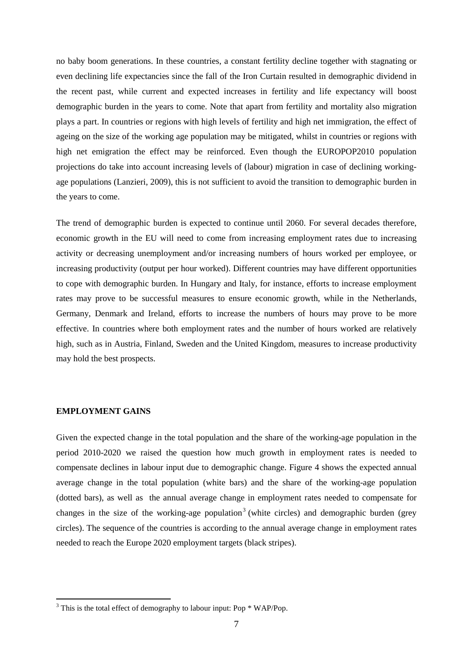no baby boom generations. In these countries, a constant fertility decline together with stagnating or even declining life expectancies since the fall of the Iron Curtain resulted in demographic dividend in the recent past, while current and expected increases in fertility and life expectancy will boost demographic burden in the years to come. Note that apart from fertility and mortality also migration plays a part. In countries or regions with high levels of fertility and high net immigration, the effect of ageing on the size of the working age population may be mitigated, whilst in countries or regions with high net emigration the effect may be reinforced. Even though the EUROPOP2010 population projections do take into account increasing levels of (labour) migration in case of declining workingage populations (Lanzieri, 2009), this is not sufficient to avoid the transition to demographic burden in the years to come.

The trend of demographic burden is expected to continue until 2060. For several decades therefore, economic growth in the EU will need to come from increasing employment rates due to increasing activity or decreasing unemployment and/or increasing numbers of hours worked per employee, or increasing productivity (output per hour worked). Different countries may have different opportunities to cope with demographic burden. In Hungary and Italy, for instance, efforts to increase employment rates may prove to be successful measures to ensure economic growth, while in the Netherlands, Germany, Denmark and Ireland, efforts to increase the numbers of hours may prove to be more effective. In countries where both employment rates and the number of hours worked are relatively high, such as in Austria, Finland, Sweden and the United Kingdom, measures to increase productivity may hold the best prospects.

### **EMPLOYMENT GAINS**

Given the expected change in the total population and the share of the working-age population in the period 2010-2020 we raised the question how much growth in employment rates is needed to compensate declines in labour input due to demographic change. Figure 4 shows the expected annual average change in the total population (white bars) and the share of the working-age population (dotted bars), as well as the annual average change in employment rates needed to compensate for changes in the size of the working-age population<sup>[3](#page-6-0)</sup> (white circles) and demographic burden (grey circles). The sequence of the countries is according to the annual average change in employment rates needed to reach the Europe 2020 employment targets (black stripes).

<span id="page-6-0"></span> $3$  This is the total effect of demography to labour input: Pop  $*$  WAP/Pop.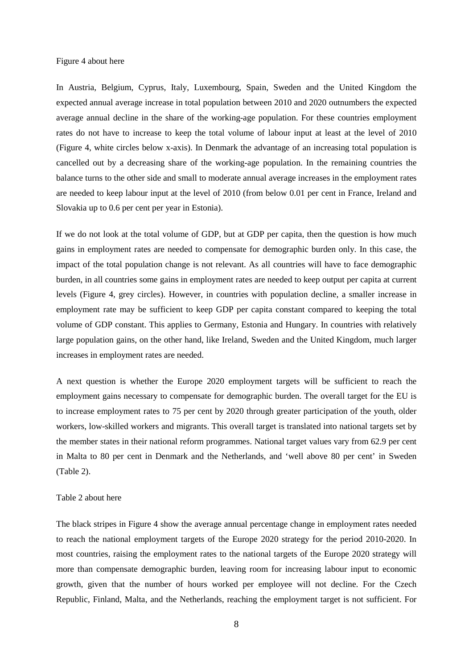#### Figure 4 about here

In Austria, Belgium, Cyprus, Italy, Luxembourg, Spain, Sweden and the United Kingdom the expected annual average increase in total population between 2010 and 2020 outnumbers the expected average annual decline in the share of the working-age population. For these countries employment rates do not have to increase to keep the total volume of labour input at least at the level of 2010 (Figure 4, white circles below x-axis). In Denmark the advantage of an increasing total population is cancelled out by a decreasing share of the working-age population. In the remaining countries the balance turns to the other side and small to moderate annual average increases in the employment rates are needed to keep labour input at the level of 2010 (from below 0.01 per cent in France, Ireland and Slovakia up to 0.6 per cent per year in Estonia).

If we do not look at the total volume of GDP, but at GDP per capita, then the question is how much gains in employment rates are needed to compensate for demographic burden only. In this case, the impact of the total population change is not relevant. As all countries will have to face demographic burden, in all countries some gains in employment rates are needed to keep output per capita at current levels (Figure 4, grey circles). However, in countries with population decline, a smaller increase in employment rate may be sufficient to keep GDP per capita constant compared to keeping the total volume of GDP constant. This applies to Germany, Estonia and Hungary. In countries with relatively large population gains, on the other hand, like Ireland, Sweden and the United Kingdom, much larger increases in employment rates are needed.

A next question is whether the Europe 2020 employment targets will be sufficient to reach the employment gains necessary to compensate for demographic burden. The overall target for the EU is to increase employment rates to 75 per cent by 2020 through greater participation of the youth, older workers, low-skilled workers and migrants. This overall target is translated into national targets set by the member states in their national reform programmes. National target values vary from 62.9 per cent in Malta to 80 per cent in Denmark and the Netherlands, and 'well above 80 per cent' in Sweden (Table 2).

### Table 2 about here

The black stripes in Figure 4 show the average annual percentage change in employment rates needed to reach the national employment targets of the Europe 2020 strategy for the period 2010-2020. In most countries, raising the employment rates to the national targets of the Europe 2020 strategy will more than compensate demographic burden, leaving room for increasing labour input to economic growth, given that the number of hours worked per employee will not decline. For the Czech Republic, Finland, Malta, and the Netherlands, reaching the employment target is not sufficient. For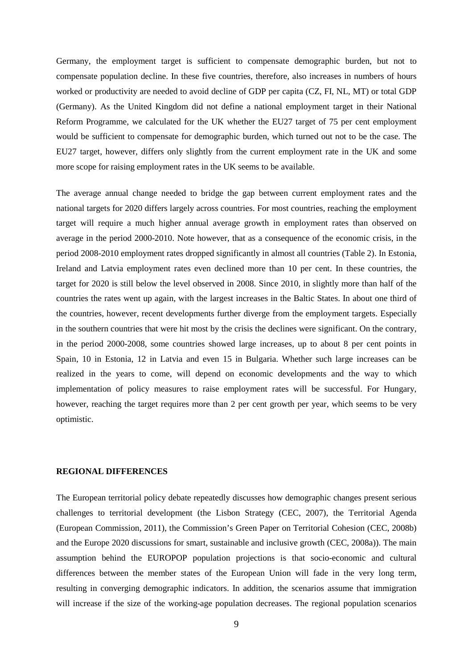Germany, the employment target is sufficient to compensate demographic burden, but not to compensate population decline. In these five countries, therefore, also increases in numbers of hours worked or productivity are needed to avoid decline of GDP per capita (CZ, FI, NL, MT) or total GDP (Germany). As the United Kingdom did not define a national employment target in their National Reform Programme, we calculated for the UK whether the EU27 target of 75 per cent employment would be sufficient to compensate for demographic burden, which turned out not to be the case. The EU27 target, however, differs only slightly from the current employment rate in the UK and some more scope for raising employment rates in the UK seems to be available.

The average annual change needed to bridge the gap between current employment rates and the national targets for 2020 differs largely across countries. For most countries, reaching the employment target will require a much higher annual average growth in employment rates than observed on average in the period 2000-2010. Note however, that as a consequence of the economic crisis, in the period 2008-2010 employment rates dropped significantly in almost all countries (Table 2). In Estonia, Ireland and Latvia employment rates even declined more than 10 per cent. In these countries, the target for 2020 is still below the level observed in 2008. Since 2010, in slightly more than half of the countries the rates went up again, with the largest increases in the Baltic States. In about one third of the countries, however, recent developments further diverge from the employment targets. Especially in the southern countries that were hit most by the crisis the declines were significant. On the contrary, in the period 2000-2008, some countries showed large increases, up to about 8 per cent points in Spain, 10 in Estonia, 12 in Latvia and even 15 in Bulgaria. Whether such large increases can be realized in the years to come, will depend on economic developments and the way to which implementation of policy measures to raise employment rates will be successful. For Hungary, however, reaching the target requires more than 2 per cent growth per year, which seems to be very optimistic.

#### **REGIONAL DIFFERENCES**

The European territorial policy debate repeatedly discusses how demographic changes present serious challenges to territorial development (the Lisbon Strategy (CEC, 2007), the Territorial Agenda (European Commission, 2011), the Commission's Green Paper on Territorial Cohesion (CEC, 2008b) and the Europe 2020 discussions for smart, sustainable and inclusive growth (CEC, 2008a)). The main assumption behind the EUROPOP population projections is that socio-economic and cultural differences between the member states of the European Union will fade in the very long term, resulting in converging demographic indicators. In addition, the scenarios assume that immigration will increase if the size of the working-age population decreases. The regional population scenarios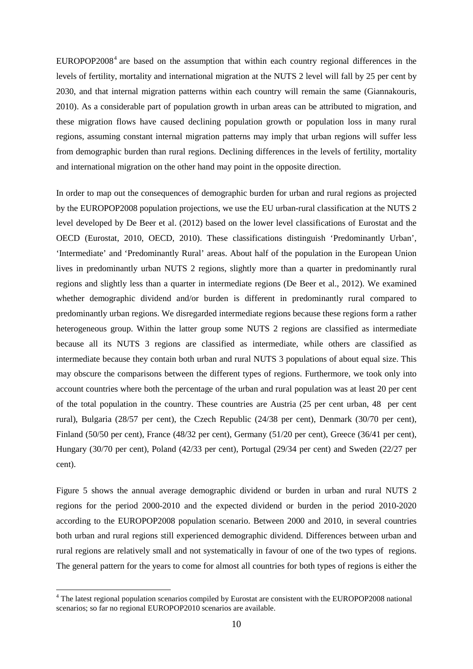EUROPOP2008<sup>[4](#page-9-0)</sup> are based on the assumption that within each country regional differences in the levels of fertility, mortality and international migration at the NUTS 2 level will fall by 25 per cent by 2030, and that internal migration patterns within each country will remain the same (Giannakouris, 2010). As a considerable part of population growth in urban areas can be attributed to migration, and these migration flows have caused declining population growth or population loss in many rural regions, assuming constant internal migration patterns may imply that urban regions will suffer less from demographic burden than rural regions. Declining differences in the levels of fertility, mortality and international migration on the other hand may point in the opposite direction.

In order to map out the consequences of demographic burden for urban and rural regions as projected by the EUROPOP2008 population projections, we use the EU urban-rural classification at the NUTS 2 level developed by De Beer et al. (2012) based on the lower level classifications of Eurostat and the OECD (Eurostat, 2010, OECD, 2010). These classifications distinguish 'Predominantly Urban', 'Intermediate' and 'Predominantly Rural' areas. About half of the population in the European Union lives in predominantly urban NUTS 2 regions, slightly more than a quarter in predominantly rural regions and slightly less than a quarter in intermediate regions (De Beer et al., 2012). We examined whether demographic dividend and/or burden is different in predominantly rural compared to predominantly urban regions. We disregarded intermediate regions because these regions form a rather heterogeneous group. Within the latter group some NUTS 2 regions are classified as intermediate because all its NUTS 3 regions are classified as intermediate, while others are classified as intermediate because they contain both urban and rural NUTS 3 populations of about equal size. This may obscure the comparisons between the different types of regions. Furthermore, we took only into account countries where both the percentage of the urban and rural population was at least 20 per cent of the total population in the country. These countries are Austria (25 per cent urban, 48 per cent rural), Bulgaria (28/57 per cent), the Czech Republic (24/38 per cent), Denmark (30/70 per cent), Finland (50/50 per cent), France (48/32 per cent), Germany (51/20 per cent), Greece (36/41 per cent), Hungary (30/70 per cent), Poland (42/33 per cent), Portugal (29/34 per cent) and Sweden (22/27 per cent).

Figure 5 shows the annual average demographic dividend or burden in urban and rural NUTS 2 regions for the period 2000-2010 and the expected dividend or burden in the period 2010-2020 according to the EUROPOP2008 population scenario. Between 2000 and 2010, in several countries both urban and rural regions still experienced demographic dividend. Differences between urban and rural regions are relatively small and not systematically in favour of one of the two types of regions. The general pattern for the years to come for almost all countries for both types of regions is either the

<span id="page-9-0"></span><sup>&</sup>lt;sup>4</sup> The latest regional population scenarios compiled by Eurostat are consistent with the EUROPOP2008 national scenarios; so far no regional EUROPOP2010 scenarios are available.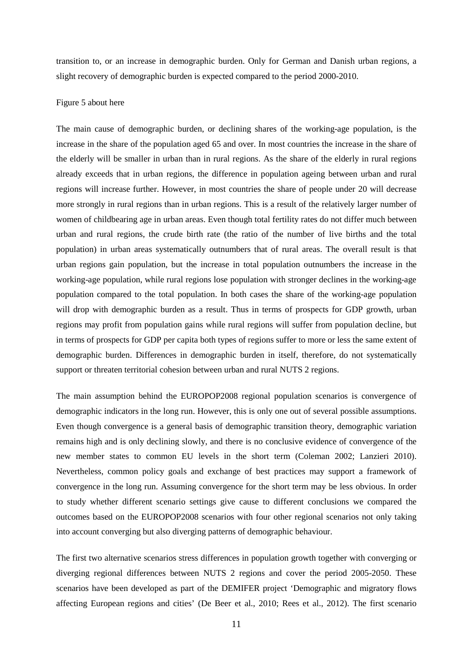transition to, or an increase in demographic burden. Only for German and Danish urban regions, a slight recovery of demographic burden is expected compared to the period 2000-2010.

#### Figure 5 about here

The main cause of demographic burden, or declining shares of the working-age population, is the increase in the share of the population aged 65 and over. In most countries the increase in the share of the elderly will be smaller in urban than in rural regions. As the share of the elderly in rural regions already exceeds that in urban regions, the difference in population ageing between urban and rural regions will increase further. However, in most countries the share of people under 20 will decrease more strongly in rural regions than in urban regions. This is a result of the relatively larger number of women of childbearing age in urban areas. Even though total fertility rates do not differ much between urban and rural regions, the crude birth rate (the ratio of the number of live births and the total population) in urban areas systematically outnumbers that of rural areas. The overall result is that urban regions gain population, but the increase in total population outnumbers the increase in the working-age population, while rural regions lose population with stronger declines in the working-age population compared to the total population. In both cases the share of the working-age population will drop with demographic burden as a result. Thus in terms of prospects for GDP growth, urban regions may profit from population gains while rural regions will suffer from population decline, but in terms of prospects for GDP per capita both types of regions suffer to more or less the same extent of demographic burden. Differences in demographic burden in itself, therefore, do not systematically support or threaten territorial cohesion between urban and rural NUTS 2 regions.

The main assumption behind the EUROPOP2008 regional population scenarios is convergence of demographic indicators in the long run. However, this is only one out of several possible assumptions. Even though convergence is a general basis of demographic transition theory, demographic variation remains high and is only declining slowly, and there is no conclusive evidence of convergence of the new member states to common EU levels in the short term (Coleman 2002; Lanzieri 2010). Nevertheless, common policy goals and exchange of best practices may support a framework of convergence in the long run. Assuming convergence for the short term may be less obvious. In order to study whether different scenario settings give cause to different conclusions we compared the outcomes based on the EUROPOP2008 scenarios with four other regional scenarios not only taking into account converging but also diverging patterns of demographic behaviour.

The first two alternative scenarios stress differences in population growth together with converging or diverging regional differences between NUTS 2 regions and cover the period 2005-2050. These scenarios have been developed as part of the DEMIFER project 'Demographic and migratory flows affecting European regions and cities' (De Beer et al., 2010; Rees et al., 2012). The first scenario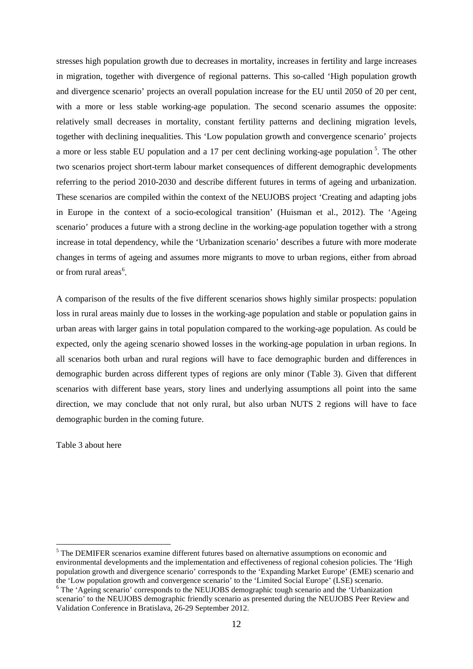stresses high population growth due to decreases in mortality, increases in fertility and large increases in migration, together with divergence of regional patterns. This so-called 'High population growth and divergence scenario' projects an overall population increase for the EU until 2050 of 20 per cent, with a more or less stable working-age population. The second scenario assumes the opposite: relatively small decreases in mortality, constant fertility patterns and declining migration levels, together with declining inequalities. This 'Low population growth and convergence scenario' projects a more or less stable EU population and a 17 per cent declining working-age population<sup>[5](#page-11-0)</sup>. The other two scenarios project short-term labour market consequences of different demographic developments referring to the period 2010-2030 and describe different futures in terms of ageing and urbanization. These scenarios are compiled within the context of the NEUJOBS project 'Creating and adapting jobs in Europe in the context of a socio-ecological transition' (Huisman et al., 2012). The 'Ageing scenario' produces a future with a strong decline in the working-age population together with a strong increase in total dependency, while the 'Urbanization scenario' describes a future with more moderate changes in terms of ageing and assumes more migrants to move to urban regions, either from abroad or from rural areas<sup>[6](#page-11-1)</sup>.

A comparison of the results of the five different scenarios shows highly similar prospects: population loss in rural areas mainly due to losses in the working-age population and stable or population gains in urban areas with larger gains in total population compared to the working-age population. As could be expected, only the ageing scenario showed losses in the working-age population in urban regions. In all scenarios both urban and rural regions will have to face demographic burden and differences in demographic burden across different types of regions are only minor (Table 3). Given that different scenarios with different base years, story lines and underlying assumptions all point into the same direction, we may conclude that not only rural, but also urban NUTS 2 regions will have to face demographic burden in the coming future.

Table 3 about here

<span id="page-11-0"></span> $<sup>5</sup>$  The DEMIFER scenarios examine different futures based on alternative assumptions on economic and</sup> environmental developments and the implementation and effectiveness of regional cohesion policies. The 'High population growth and divergence scenario' corresponds to the 'Expanding Market Europe' (EME) scenario and the 'Low population growth and convergence scenario' to the 'Limited Social Europe' (LSE) scenario.

<span id="page-11-1"></span> $\delta$  The 'Ageing scenario' corresponds to the NEUJOBS demographic tough scenario and the 'Urbanization' scenario' to the NEUJOBS demographic friendly scenario as presented during the NEUJOBS Peer Review and Validation Conference in Bratislava, 26-29 September 2012.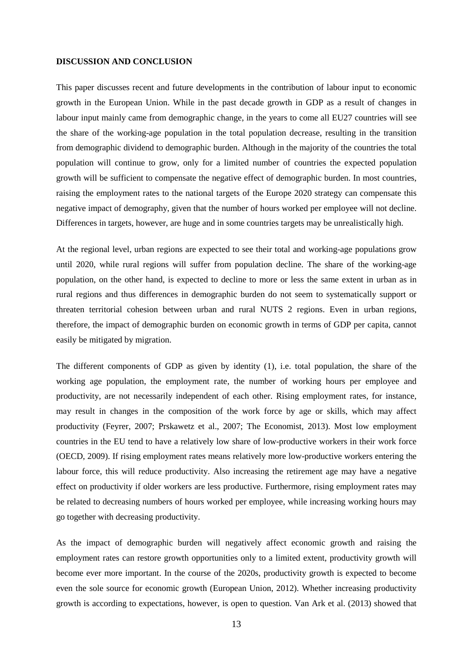## **DISCUSSION AND CONCLUSION**

This paper discusses recent and future developments in the contribution of labour input to economic growth in the European Union. While in the past decade growth in GDP as a result of changes in labour input mainly came from demographic change, in the years to come all EU27 countries will see the share of the working-age population in the total population decrease, resulting in the transition from demographic dividend to demographic burden. Although in the majority of the countries the total population will continue to grow, only for a limited number of countries the expected population growth will be sufficient to compensate the negative effect of demographic burden. In most countries, raising the employment rates to the national targets of the Europe 2020 strategy can compensate this negative impact of demography, given that the number of hours worked per employee will not decline. Differences in targets, however, are huge and in some countries targets may be unrealistically high.

At the regional level, urban regions are expected to see their total and working-age populations grow until 2020, while rural regions will suffer from population decline. The share of the working-age population, on the other hand, is expected to decline to more or less the same extent in urban as in rural regions and thus differences in demographic burden do not seem to systematically support or threaten territorial cohesion between urban and rural NUTS 2 regions. Even in urban regions, therefore, the impact of demographic burden on economic growth in terms of GDP per capita, cannot easily be mitigated by migration.

The different components of GDP as given by identity (1), i.e. total population, the share of the working age population, the employment rate, the number of working hours per employee and productivity, are not necessarily independent of each other. Rising employment rates, for instance, may result in changes in the composition of the work force by age or skills, which may affect productivity (Feyrer, 2007; Prskawetz et al., 2007; The Economist, 2013). Most low employment countries in the EU tend to have a relatively low share of low-productive workers in their work force (OECD, 2009). If rising employment rates means relatively more low-productive workers entering the labour force, this will reduce productivity. Also increasing the retirement age may have a negative effect on productivity if older workers are less productive. Furthermore, rising employment rates may be related to decreasing numbers of hours worked per employee, while increasing working hours may go together with decreasing productivity.

As the impact of demographic burden will negatively affect economic growth and raising the employment rates can restore growth opportunities only to a limited extent, productivity growth will become ever more important. In the course of the 2020s, productivity growth is expected to become even the sole source for economic growth (European Union, 2012). Whether increasing productivity growth is according to expectations, however, is open to question. Van Ark et al. (2013) showed that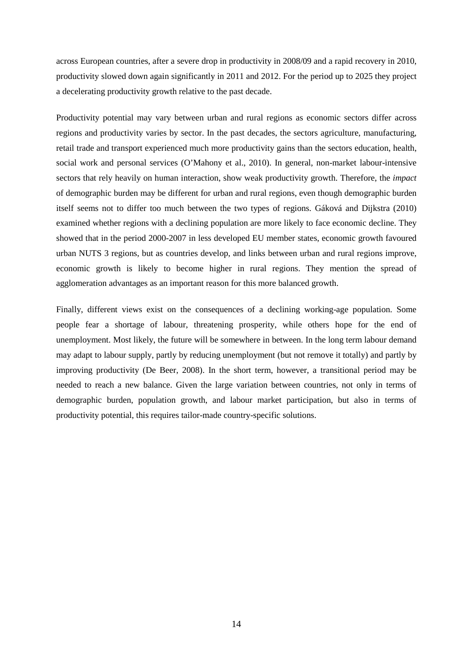across European countries, after a severe drop in productivity in 2008/09 and a rapid recovery in 2010, productivity slowed down again significantly in 2011 and 2012. For the period up to 2025 they project a decelerating productivity growth relative to the past decade.

Productivity potential may vary between urban and rural regions as economic sectors differ across regions and productivity varies by sector. In the past decades, the sectors agriculture, manufacturing, retail trade and transport experienced much more productivity gains than the sectors education, health, social work and personal services (O'Mahony et al., 2010). In general, non-market labour-intensive sectors that rely heavily on human interaction, show weak productivity growth. Therefore, the *impact* of demographic burden may be different for urban and rural regions, even though demographic burden itself seems not to differ too much between the two types of regions. Gáková and Dijkstra (2010) examined whether regions with a declining population are more likely to face economic decline. They showed that in the period 2000-2007 in less developed EU member states, economic growth favoured urban NUTS 3 regions, but as countries develop, and links between urban and rural regions improve, economic growth is likely to become higher in rural regions. They mention the spread of agglomeration advantages as an important reason for this more balanced growth.

Finally, different views exist on the consequences of a declining working-age population. Some people fear a shortage of labour, threatening prosperity, while others hope for the end of unemployment. Most likely, the future will be somewhere in between. In the long term labour demand may adapt to labour supply, partly by reducing unemployment (but not remove it totally) and partly by improving productivity (De Beer, 2008). In the short term, however, a transitional period may be needed to reach a new balance. Given the large variation between countries, not only in terms of demographic burden, population growth, and labour market participation, but also in terms of productivity potential, this requires tailor-made country-specific solutions.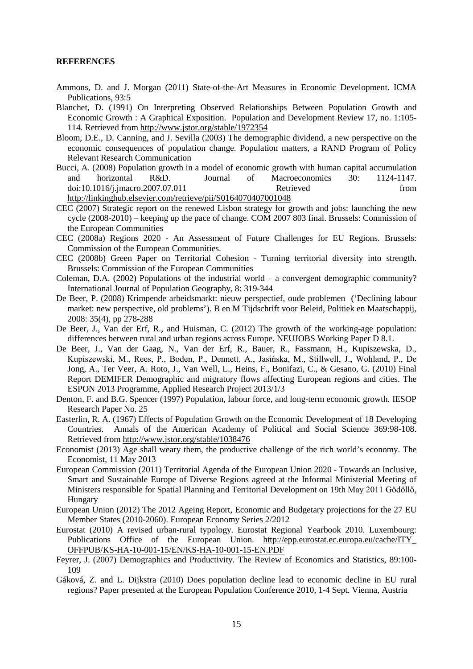### **REFERENCES**

- Ammons, D. and J. Morgan (2011) State-of-the-Art Measures in Economic Development. ICMA Publications, 93:5
- Blanchet, D. (1991) On Interpreting Observed Relationships Between Population Growth and Economic Growth : A Graphical Exposition. Population and Development Review 17, no. 1:105- 114. Retrieved fro[m http://www.jstor.org/stable/1972354](http://www.jstor.org/stable/1972354)
- Bloom, D.E., D. Canning, and J. Sevilla (2003) The demographic dividend, a new perspective on the economic consequences of population change. Population matters, a RAND Program of Policy Relevant Research Communication
- Bucci, A. (2008) Population growth in a model of economic growth with human capital accumulation and horizontal R&D. Journal of Macroeconomics 30: 1124-1147.<br>doi:10.1016/i.imacro.2007.07.011 Retrieved from doi:10.1016/j.jmacro.2007.07.011 <http://linkinghub.elsevier.com/retrieve/pii/S0164070407001048>
- CEC (2007) Strategic report on the renewed Lisbon strategy for growth and jobs: launching the new cycle (2008-2010) – keeping up the pace of change. COM 2007 803 final. Brussels: Commission of the European Communities
- CEC (2008a) Regions 2020 An Assessment of Future Challenges for EU Regions. Brussels: Commission of the European Communities.
- CEC (2008b) Green Paper on Territorial Cohesion Turning territorial diversity into strength. Brussels: Commission of the European Communities
- Coleman, D.A. (2002) Populations of the industrial world a convergent demographic community? International Journal of Population Geography, 8: 319-344
- De Beer, P. (2008) Krimpende arbeidsmarkt: nieuw perspectief, oude problemen ('Declining labour market: new perspective, old problems'). B en M Tijdschrift voor Beleid, Politiek en Maatschappij, 2008: 35(4), pp 278-288
- De Beer, J., Van der Erf, R., and Huisman, C. (2012) The growth of the working-age population: differences between rural and urban regions across Europe. NEUJOBS Working Paper D 8.1.
- De Beer, J., Van der Gaag, N., Van der Erf, R., Bauer, R., Fassmann, H., Kupiszewska, D., Kupiszewski, M., Rees, P., Boden, P., Dennett, A., Jasińska, M., Stillwell, J., Wohland, P., De Jong, A., Ter Veer, A. Roto, J., Van Well, L., Heins, F., Bonifazi, C., & Gesano, G. (2010) Final Report DEMIFER Demographic and migratory flows affecting European regions and cities. The ESPON 2013 Programme, Applied Research Project 2013/1/3
- Denton, F. and B.G. Spencer (1997) Population, labour force, and long-term economic growth. IESOP Research Paper No. 25
- Easterlin, R. A. (1967) Effects of Population Growth on the Economic Development of 18 Developing Countries. Annals of the American Academy of Political and Social Science 369:98-108. Retrieved from<http://www.jstor.org/stable/1038476>
- Economist (2013) Age shall weary them, the productive challenge of the rich world's economy. The Economist, 11 May 2013
- European Commission (2011) Territorial Agenda of the European Union 2020 Towards an Inclusive, Smart and Sustainable Europe of Diverse Regions agreed at the Informal Ministerial Meeting of Ministers responsible for Spatial Planning and Territorial Development on 19th May 2011 Gödöllő, Hungary
- European Union (2012) The 2012 Ageing Report, Economic and Budgetary projections for the 27 EU Member States (2010-2060). European Economy Series 2/2012
- Eurostat (2010) A revised urban-rural typology. Eurostat Regional Yearbook 2010. Luxembourg: Publications Office of the European Union. http://epp.eurostat.ec.europa.eu/cache/ITY\_ [OFFPUB/KS-HA-10-001-15/EN/KS-HA-10-001-15-EN.PDF](http://epp.eurostat.ec.europa.eu/cache/ITY_%20OFFPUB/KS-HA-10-001-15/EN/KS-HA-10-001-15-EN.PDF)
- Feyrer, J. (2007) Demographics and Productivity. The Review of Economics and Statistics, 89:100- 109
- Gáková, Z. and L. Dijkstra (2010) Does population decline lead to economic decline in EU rural regions? Paper presented at the European Population Conference 2010, 1-4 Sept. Vienna, Austria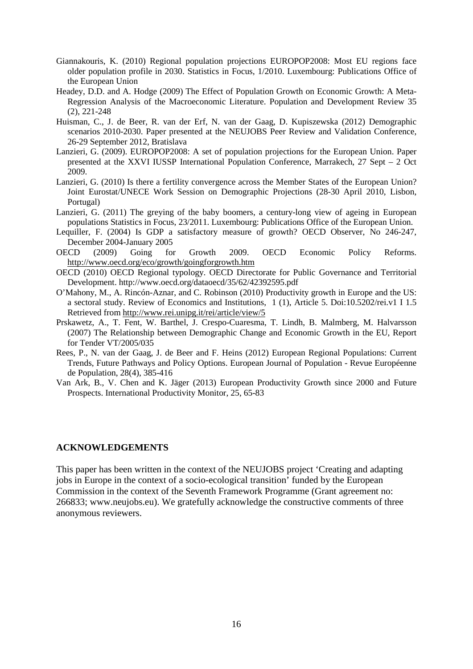- Giannakouris, K. (2010) Regional population projections EUROPOP2008: Most EU regions face older population profile in 2030. Statistics in Focus, 1/2010. Luxembourg: Publications Office of the European Union
- Headey, D.D. and A. Hodge (2009) The Effect of Population Growth on Economic Growth: A Meta-Regression Analysis of the Macroeconomic Literature. Population and Development Review 35 (2), 221-248
- Huisman, C., J. de Beer, R. van der Erf, N. van der Gaag, D. Kupiszewska (2012) Demographic scenarios 2010-2030. Paper presented at the NEUJOBS Peer Review and Validation Conference, 26-29 September 2012, Bratislava
- Lanzieri, G. (2009). EUROPOP2008: A set of population projections for the European Union. Paper presented at the XXVI IUSSP International Population Conference, Marrakech, 27 Sept – 2 Oct 2009.
- Lanzieri, G. (2010) Is there a fertility convergence across the Member States of the European Union? Joint Eurostat/UNECE Work Session on Demographic Projections (28-30 April 2010, Lisbon, Portugal)
- Lanzieri, G. (2011) The greying of the baby boomers, a century-long view of ageing in European populations Statistics in Focus, 23/2011. Luxembourg: Publications Office of the European Union.
- Lequiller, F. (2004) Is GDP a satisfactory measure of growth? OECD Observer, No 246-247, December 2004-January 2005
- OECD (2009) Going for Growth 2009. OECD Economic Policy Reforms. <http://www.oecd.org/eco/growth/goingforgrowth.htm>
- OECD (2010) OECD Regional typology. OECD Directorate for Public Governance and Territorial Development. http://www.oecd.org/dataoecd/35/62/42392595.pdf
- O'Mahony, M., A. Rincón-Aznar, and C. Robinson (2010) Productivity growth in Europe and the US: a sectoral study. Review of Economics and Institutions, 1 (1), Article 5. Doi:10.5202/rei.v1 I 1.5 Retrieved fro[m http://www.rei.unipg.it/rei/article/view/5](http://www.rei.unipg.it/rei/article/view/5)
- Prskawetz, A., T. Fent, W. Barthel, J. Crespo-Cuaresma, T. Lindh, B. Malmberg, M. Halvarsson (2007) The Relationship between Demographic Change and Economic Growth in the EU, Report for Tender VT/2005/035
- Rees, P., N. van der Gaag, J. de Beer and F. Heins (2012) European Regional Populations: Current Trends, Future Pathways and Policy Options. European Journal of Population - Revue Européenne de Population, 28(4), 385-416
- Van Ark, B., V. Chen and K. Jäger (2013) European Productivity Growth since 2000 and Future Prospects. International Productivity Monitor, 25, 65-83

# **ACKNOWLEDGEMENTS**

This paper has been written in the context of the NEUJOBS project 'Creating and adapting jobs in Europe in the context of a socio-ecological transition' funded by the European Commission in the context of the Seventh Framework Programme (Grant agreement no: 266833; www.neujobs.eu). We gratefully acknowledge the constructive comments of three anonymous reviewers.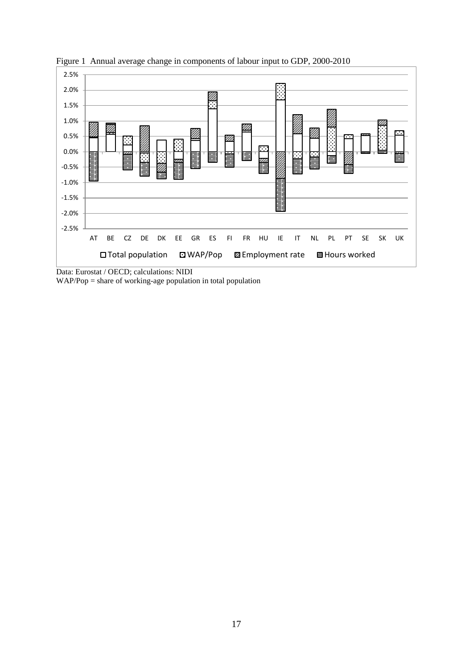

Figure 1 Annual average change in components of labour input to GDP, 2000-2010

Data: Eurostat / OECD; calculations: NIDI WAP/Pop = share of working-age population in total population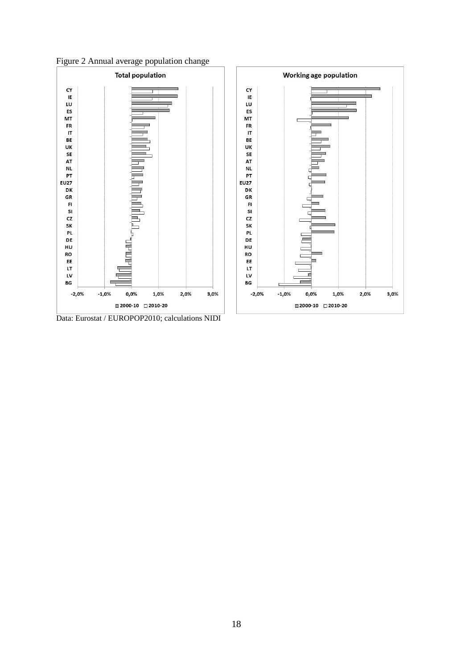Figure 2 Annual average population change



Data: Eurostat / EUROPOP2010; calculations NIDI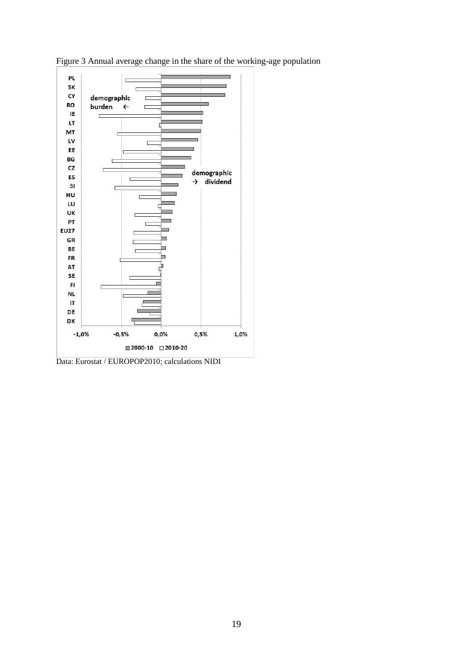

Figure 3 Annual average change in the share of the working-age population

Data: Eurostat / EUROPOP2010; calculations NIDI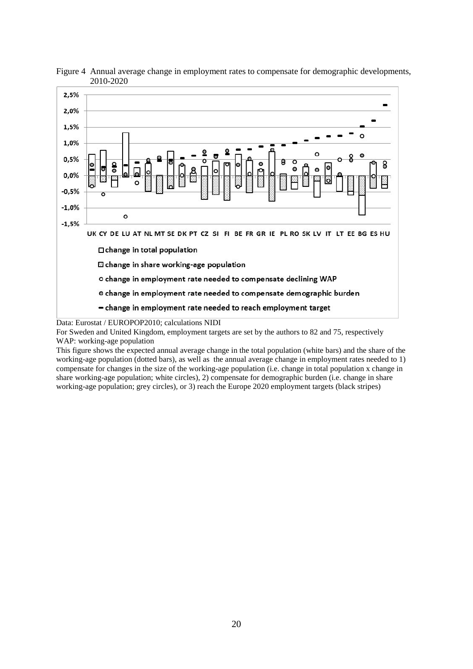

Figure 4 Annual average change in employment rates to compensate for demographic developments, 2010-2020

Data: Eurostat / EUROPOP2010; calculations NIDI

For Sweden and United Kingdom, employment targets are set by the authors to 82 and 75, respectively WAP: working-age population

This figure shows the expected annual average change in the total population (white bars) and the share of the working-age population (dotted bars), as well as the annual average change in employment rates needed to 1) compensate for changes in the size of the working-age population (i.e. change in total population x change in share working-age population; white circles), 2) compensate for demographic burden (i.e. change in share working-age population; grey circles), or 3) reach the Europe 2020 employment targets (black stripes)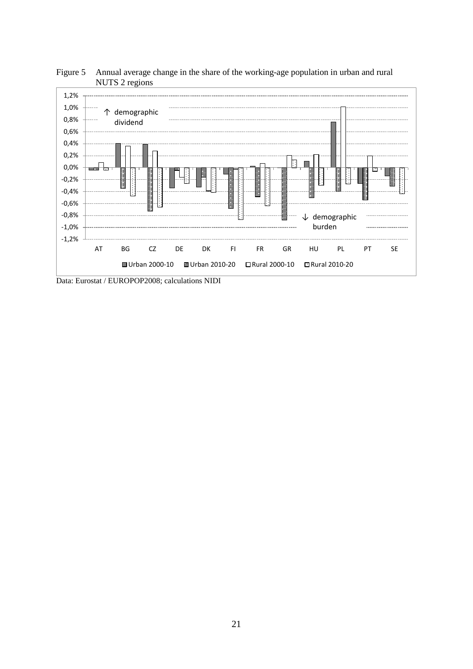

Figure 5 Annual average change in the share of the working-age population in urban and rural NUTS 2 regions

Data: Eurostat / EUROPOP2008; calculations NIDI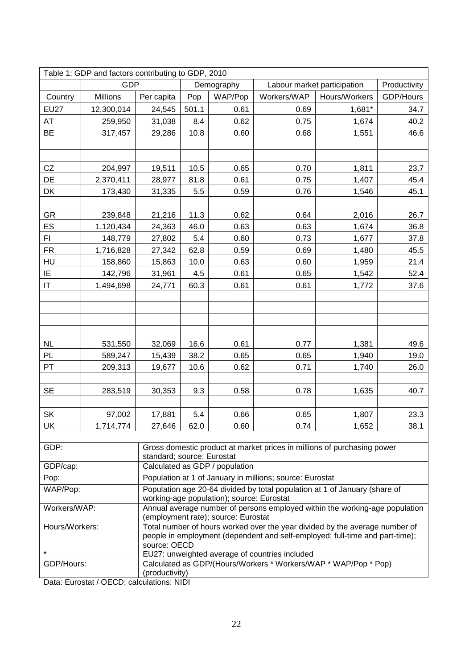| Table 1: GDP and factors contributing to GDP, 2010 |            |                                                                                                                    |                                                                                                       |         |                             |               |              |  |  |  |
|----------------------------------------------------|------------|--------------------------------------------------------------------------------------------------------------------|-------------------------------------------------------------------------------------------------------|---------|-----------------------------|---------------|--------------|--|--|--|
| <b>GDP</b>                                         |            |                                                                                                                    | Demography                                                                                            |         | Labour market participation |               | Productivity |  |  |  |
| Country                                            | Millions   | Per capita                                                                                                         | Pop                                                                                                   | WAP/Pop | Workers/WAP                 | Hours/Workers | GDP/Hours    |  |  |  |
| <b>EU27</b>                                        | 12,300,014 | 24,545                                                                                                             | 501.1                                                                                                 | 0.61    | 0.69                        | 1,681*        | 34.7         |  |  |  |
| AT                                                 | 259,950    | 31,038                                                                                                             | 8.4                                                                                                   | 0.62    | 0.75                        | 1,674         | 40.2         |  |  |  |
| <b>BE</b>                                          | 317,457    | 29,286                                                                                                             | 10.8                                                                                                  | 0.60    | 0.68                        | 1,551         | 46.6         |  |  |  |
|                                                    |            |                                                                                                                    |                                                                                                       |         |                             |               |              |  |  |  |
|                                                    |            |                                                                                                                    |                                                                                                       |         |                             |               |              |  |  |  |
| CZ                                                 | 204,997    | 19,511                                                                                                             | 10.5                                                                                                  | 0.65    | 0.70                        | 1,811         | 23.7         |  |  |  |
| DE                                                 | 2,370,411  | 28,977                                                                                                             | 81.8                                                                                                  | 0.61    | 0.75                        | 1,407         | 45.4         |  |  |  |
| DK                                                 | 173,430    | 31,335                                                                                                             | 5.5                                                                                                   | 0.59    | 0.76                        | 1,546         | 45.1         |  |  |  |
|                                                    |            |                                                                                                                    |                                                                                                       |         |                             |               |              |  |  |  |
| GR                                                 | 239,848    | 21,216                                                                                                             | 11.3                                                                                                  | 0.62    | 0.64                        | 2,016         | 26.7         |  |  |  |
| ES                                                 | 1,120,434  | 24,363                                                                                                             | 46.0                                                                                                  | 0.63    | 0.63                        | 1,674         | 36.8         |  |  |  |
| FI.                                                | 148,779    | 27,802                                                                                                             | 5.4                                                                                                   | 0.60    | 0.73                        | 1,677         | 37.8         |  |  |  |
| <b>FR</b>                                          | 1,716,828  | 27,342                                                                                                             | 62.8                                                                                                  | 0.59    | 0.69                        | 1,480         | 45.5         |  |  |  |
| HU                                                 | 158,860    | 15,863                                                                                                             | 10.0                                                                                                  | 0.63    | 0.60                        | 1,959         | 21.4         |  |  |  |
| IE                                                 | 142,796    | 31,961                                                                                                             | 4.5                                                                                                   | 0.61    | 0.65                        | 1,542         | 52.4         |  |  |  |
| $\mathsf{I}\mathsf{T}$                             | 1,494,698  | 24,771                                                                                                             | 60.3                                                                                                  | 0.61    | 0.61                        | 1,772         | 37.6         |  |  |  |
|                                                    |            |                                                                                                                    |                                                                                                       |         |                             |               |              |  |  |  |
|                                                    |            |                                                                                                                    |                                                                                                       |         |                             |               |              |  |  |  |
|                                                    |            |                                                                                                                    |                                                                                                       |         |                             |               |              |  |  |  |
|                                                    |            |                                                                                                                    |                                                                                                       |         |                             |               |              |  |  |  |
| <b>NL</b>                                          | 531,550    | 32,069                                                                                                             | 16.6                                                                                                  | 0.61    | 0.77                        | 1,381         | 49.6         |  |  |  |
| PL                                                 | 589,247    | 15,439                                                                                                             | 38.2                                                                                                  | 0.65    | 0.65                        | 1,940         | 19.0         |  |  |  |
| PT                                                 | 209,313    | 19,677                                                                                                             | 10.6                                                                                                  | 0.62    | 0.71                        | 1,740         | 26.0         |  |  |  |
|                                                    |            |                                                                                                                    |                                                                                                       |         |                             |               |              |  |  |  |
| <b>SE</b>                                          | 283,519    | 30,353                                                                                                             | 9.3                                                                                                   | 0.58    | 0.78                        | 1,635         | 40.7         |  |  |  |
|                                                    |            |                                                                                                                    |                                                                                                       |         |                             |               |              |  |  |  |
| SK                                                 | 97,002     | 17,881                                                                                                             | 5.4                                                                                                   | 0.66    | 0.65                        | 1,807         | 23.3         |  |  |  |
| UK                                                 | 1,714,774  | 27,646                                                                                                             | 62.0                                                                                                  | 0.60    | 0.74                        | 1,652         | 38.1         |  |  |  |
| GDP:                                               |            |                                                                                                                    |                                                                                                       |         |                             |               |              |  |  |  |
|                                                    |            |                                                                                                                    | Gross domestic product at market prices in millions of purchasing power<br>standard; source: Eurostat |         |                             |               |              |  |  |  |
| GDP/cap:                                           |            |                                                                                                                    | Calculated as GDP / population                                                                        |         |                             |               |              |  |  |  |
| Pop:                                               |            |                                                                                                                    | Population at 1 of January in millions; source: Eurostat                                              |         |                             |               |              |  |  |  |
| WAP/Pop:                                           |            | Population age 20-64 divided by total population at 1 of January (share of                                         |                                                                                                       |         |                             |               |              |  |  |  |
|                                                    |            | working-age population); source: Eurostat                                                                          |                                                                                                       |         |                             |               |              |  |  |  |
| Workers/WAP:                                       |            | Annual average number of persons employed within the working-age population<br>(employment rate); source: Eurostat |                                                                                                       |         |                             |               |              |  |  |  |
| Hours/Workers:                                     |            | Total number of hours worked over the year divided by the average number of                                        |                                                                                                       |         |                             |               |              |  |  |  |
|                                                    |            | people in employment (dependent and self-employed; full-time and part-time);                                       |                                                                                                       |         |                             |               |              |  |  |  |
| $\star$                                            |            | source: OECD                                                                                                       |                                                                                                       |         |                             |               |              |  |  |  |
| GDP/Hours:                                         |            | EU27: unweighted average of countries included<br>Calculated as GDP/(Hours/Workers * Workers/WAP * WAP/Pop * Pop)  |                                                                                                       |         |                             |               |              |  |  |  |
|                                                    |            | (productivity)                                                                                                     |                                                                                                       |         |                             |               |              |  |  |  |

Data: Eurostat / OECD; calculations: NIDI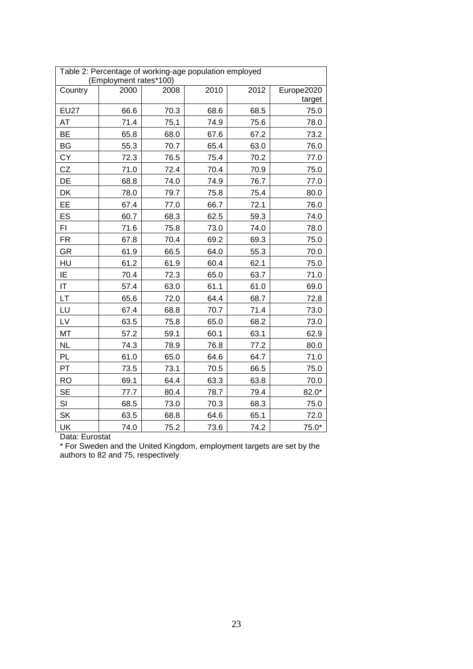| Table 2: Percentage of working-age population employed<br>(Employment rates*100) |      |      |      |      |                      |  |  |
|----------------------------------------------------------------------------------|------|------|------|------|----------------------|--|--|
| Country                                                                          | 2000 | 2008 | 2010 | 2012 | Europe2020<br>target |  |  |
| <b>EU27</b>                                                                      | 66.6 | 70.3 | 68.6 | 68.5 | 75.0                 |  |  |
| AT                                                                               | 71.4 | 75.1 | 74.9 | 75.6 | 78.0                 |  |  |
| <b>BE</b>                                                                        | 65.8 | 68.0 | 67.6 | 67.2 | 73.2                 |  |  |
| <b>BG</b>                                                                        | 55.3 | 70.7 | 65.4 | 63.0 | 76.0                 |  |  |
| CY                                                                               | 72.3 | 76.5 | 75.4 | 70.2 | 77.0                 |  |  |
| CZ                                                                               | 71.0 | 72.4 | 70.4 | 70.9 | 75.0                 |  |  |
| DE                                                                               | 68.8 | 74.0 | 74.9 | 76.7 | 77.0                 |  |  |
| DK                                                                               | 78.0 | 79.7 | 75.8 | 75.4 | 80.0                 |  |  |
| EE                                                                               | 67.4 | 77.0 | 66.7 | 72.1 | 76.0                 |  |  |
| ES                                                                               | 60.7 | 68.3 | 62.5 | 59.3 | 74.0                 |  |  |
| FI                                                                               | 71.6 | 75.8 | 73.0 | 74.0 | 78.0                 |  |  |
| <b>FR</b>                                                                        | 67.8 | 70.4 | 69.2 | 69.3 | 75.0                 |  |  |
| GR                                                                               | 61.9 | 66.5 | 64.0 | 55.3 | 70.0                 |  |  |
| HU                                                                               | 61.2 | 61.9 | 60.4 | 62.1 | 75.0                 |  |  |
| IE                                                                               | 70.4 | 72.3 | 65.0 | 63.7 | 71.0                 |  |  |
| IT                                                                               | 57.4 | 63.0 | 61.1 | 61.0 | 69.0                 |  |  |
| LT                                                                               | 65.6 | 72.0 | 64.4 | 68.7 | 72.8                 |  |  |
| LU                                                                               | 67.4 | 68.8 | 70.7 | 71.4 | 73.0                 |  |  |
| LV                                                                               | 63.5 | 75.8 | 65.0 | 68.2 | 73.0                 |  |  |
| MT                                                                               | 57.2 | 59.1 | 60.1 | 63.1 | 62.9                 |  |  |
| <b>NL</b>                                                                        | 74.3 | 78.9 | 76.8 | 77.2 | 80.0                 |  |  |
| PL                                                                               | 61.0 | 65.0 | 64.6 | 64.7 | 71.0                 |  |  |
| PT                                                                               | 73.5 | 73.1 | 70.5 | 66.5 | 75.0                 |  |  |
| <b>RO</b>                                                                        | 69.1 | 64.4 | 63.3 | 63.8 | 70.0                 |  |  |
| <b>SE</b>                                                                        | 77.7 | 80.4 | 78.7 | 79.4 | 82.0*                |  |  |
| SI                                                                               | 68.5 | 73.0 | 70.3 | 68.3 | 75.0                 |  |  |
| SK                                                                               | 63.5 | 68.8 | 64.6 | 65.1 | 72.0                 |  |  |
| UK                                                                               | 74.0 | 75.2 | 73.6 | 74.2 | $75.0*$              |  |  |

Data: Eurostat

\* For Sweden and the United Kingdom, employment targets are set by the authors to 82 and 75, respectively